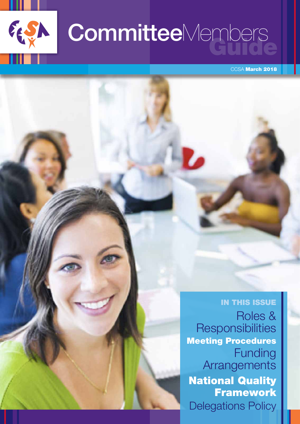

# CommitteeMembers

CCSA March 2018

### IN THIS ISSUE Roles & **Responsibilities** Meeting Procedures Funding **Arrangements** National Quality **Framework** Delegations Policy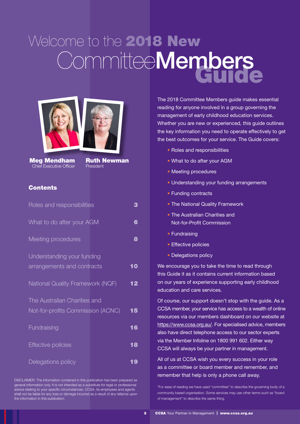# Welcome to the 2018 New<br>CommitteeMembers





Meg Mendham Chief Executive Officer

Ruth Newman President

#### **Contents**

| Roles and responsibilities              | 3  |
|-----------------------------------------|----|
| What to do after your AGM               | 6  |
| Meeting procedures                      | 8  |
| Understanding your funding              |    |
| arrangements and contracts              | 10 |
| <b>National Quality Framework (NQF)</b> | 12 |
| The Australian Charities and            |    |
| Not-for-profits Commission (ACNC)       | 15 |
| Fundraising                             | 16 |
| <b>Effective policies</b>               | 18 |
| Delegations policy                      | 19 |

DISCLAIMER: The information contained in this publication has been prepared as general information only. It is not intended as a substitute for legal or professional advice relating to your specific circumstances. CCSA, its employees and agents shall not be liable for any loss or damage incurred as a result of any reliance upon the information in this publication.

The 2018 Committee Members guide makes essential reading for anyone involved in a group governing the management of early childhood education services. Whether you are new or experienced, this guide outlines the key information you need to operate effectively to get the best outcomes for your service. The Guide covers:

- Roles and responsibilities
- What to do after your AGM
- Meeting procedures
- Understanding your funding arrangements
- Funding contracts
- The National Quality Framework
- The Australian Charities and Not-for-Profit Commission
- Fundraising
- Effective policies
- Delegations policy

We encourage you to take the time to read through this Guide it as it contains current information based on our years of experience supporting early childhood education and care services.

Of course, our support doesn't stop with the guide. As a CCSA member, your service has access to a wealth of online resources via our members dashboard on our website at [https://www.ccsa.org.au/](http://www.ccsa.org.au/). For specialised advice, members also have direct telephone access to our sector experts via the Member Infoline on 1800 991 602. Either way CCSA will always be your partner in management.

All of us at CCSA wish you every success in your role as a committee or board member and remember, and remember that help is only a phone call away.

\*For ease of reading we have used "committee" to describe the governing body of a community based organisation. Some services may use other terms such as "board of management" to describe the same thing.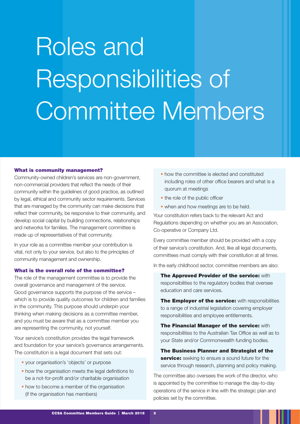# Roles and Responsibilities of Committee Members

#### What is community management?

Community-owned children's services are non-government, non-commercial providers that reflect the needs of their community within the guidelines of good practice, as outlined by legal, ethical and community sector requirements. Services that are managed by the community can make decisions that reflect their community, be responsive to their community, and develop social capital by building connections, relationships and networks for families. The management committee is made up of representatives of that community.

In your role as a committee member your contribution is vital, not only to your service, but also to the principles of community management and ownership.

#### What is the overall role of the committee?

The role of the management committee is to provide the overall governance and management of the service. Good governance supports the purpose of the service – which is to provide quality outcomes for children and families in the community. This purpose should underpin your thinking when making decisions as a committee member, and you must be aware that as a committee member you are representing the community, not yourself.

Your service's constitution provides the legal framework and foundation for your service's governance arrangements. The constitution is a legal document that sets out:

- your organisation's 'objects' or purpose
- how the organisation meets the legal definitions to be a not-for-profit and/or charitable organisation
- how to become a member of the organisation (if the organisation has members)
- how the committee is elected and constituted including roles of other office bearers and what is a quorum at meetings
- the role of the public officer
- when and how meetings are to be held.

Your constitution refers back to the relevant Act and Regulations depending on whether you are an Association, Co-operative or Company Ltd.

Every committee member should be provided with a copy of their service's constitution. And, like all legal documents, committees must comply with their constitution at all times.

In the early childhood sector, committee members are also:

The Approved Provider of the service: with responsibilities to the regulatory bodies that oversee education and care services.

The Employer of the service: with responsibilities to a range of industrial legislation covering employer responsibilities and employee entitlements.

**The Financial Manager of the service: with** responsibilities to the Australian Tax Office as well as to your State and/or Commonwealth funding bodies.

The Business Planner and Strategist of the service: seeking to ensure a sound future for the service through research, planning and policy making.

The committee also oversees the work of the director, who is appointed by the committee to manage the day-to-day operations of the service in line with the strategic plan and policies set by the committee.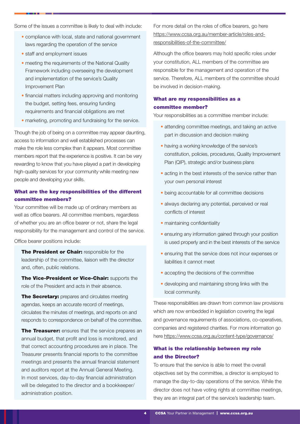Some of the issues a committee is likely to deal with include:

- compliance with local, state and national government laws regarding the operation of the service
- staff and employment issues
- meeting the requirements of the National Quality Framework including overseeing the development and implementation of the service's Quality Improvement Plan
- financial matters including approving and monitoring the budget, setting fees, ensuring funding requirements and financial obligations are met
- marketing, promoting and fundraising for the service.

Though the job of being on a committee may appear daunting, access to information and well established processes can make the role less complex than it appears. Most committee members report that the experience is positive. It can be very rewarding to know that you have played a part in developing high-quality services for your community while meeting new people and developing your skills.

#### What are the key responsibilities of the different committee members?

Your committee will be made up of ordinary members as well as office bearers. All committee members, regardless of whether you are an office bearer or not, share the legal responsibility for the management and control of the service.

Office bearer positions include:

The President or Chair: responsible for the leadership of the committee, liaison with the director and, often, public relations.

The Vice-President or Vice-Chair: supports the role of the President and acts in their absence.

The Secretary: prepares and circulates meeting agendas, keeps an accurate record of meetings, circulates the minutes of meetings, and reports on and responds to correspondence on behalf of the committee.

**The Treasurer:** ensures that the service prepares an annual budget, that profit and loss is monitored, and that correct accounting procedures are in place. The Treasurer presents financial reports to the committee meetings and presents the annual financial statement and auditors report at the Annual General Meeting. In most services, day-to-day financial administration will be delegated to the director and a bookkeeper/ administration position.

For more detail on the roles of office bearers, go here [https://www.ccsa.org.au/member-article/roles-and](https://www.ccsa.org.au/member-article/roles-and-responsibilities-of-the-committee/)[responsibilities-of-the-committee/](https://www.ccsa.org.au/member-article/roles-and-responsibilities-of-the-committee/)

Although the office bearers may hold specific roles under your constitution, ALL members of the committee are responsible for the management and operation of the service. Therefore, ALL members of the committee should be involved in decision-making.

#### What are my responsibilities as a committee member?

Your responsibilities as a committee member include:

- attending committee meetings, and taking an active part in discussion and decision making
- having a working knowledge of the service's constitution, policies, procedures, Quality Improvement Plan (QIP), strategic and/or business plans
- acting in the best interests of the service rather than your own personal interest
- being accountable for all committee decisions
- always declaring any potential, perceived or real conflicts of interest
- maintaining confidentiality
- ensuring any information gained through your position is used properly and in the best interests of the service
- ensuring that the service does not incur expenses or liabilities it cannot meet
- accepting the decisions of the committee
- developing and maintaining strong links with the local community.

These responsibilities are drawn from common law provisions which are now embedded in legislation covering the legal and governance requirements of associations, co-operatives, companies and registered charities. For more information go here <https://www.ccsa.org.au/content-type/governance/>

#### What is the relationship between my role and the Director?

To ensure that the service is able to meet the overall objectives set by the committee, a director is employed to manage the day-to-day operations of the service. While the director does not have voting rights at committee meetings, they are an integral part of the service's leadership team.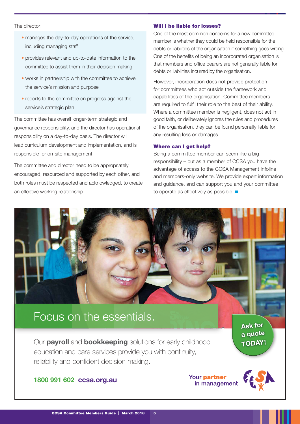#### The director:

- manages the day-to-day operations of the service, including managing staff
- provides relevant and up-to-date information to the committee to assist them in their decision making
- works in partnership with the committee to achieve the service's mission and purpose
- reports to the committee on progress against the service's strategic plan.

The committee has overall longer-term strategic and governance responsibility, and the director has operational responsibility on a day-to-day basis. The director will lead curriculum development and implementation, and is responsible for on-site management.

The committee and director need to be appropriately encouraged, resourced and supported by each other, and both roles must be respected and acknowledged, to create an effective working relationship.

#### Will I be liable for losses?

One of the most common concerns for a new committee member is whether they could be held responsible for the debts or liabilities of the organisation if something goes wrong. One of the benefits of being an incorporated organisation is that members and office bearers are not generally liable for debts or liabilities incurred by the organisation.

However, incorporation does not provide protection for committees who act outside the framework and capabilities of the organisation. Committee members are required to fulfil their role to the best of their ability. Where a committee member is negligent, does not act in good faith, or deliberately ignores the rules and procedures of the organisation, they can be found personally liable for any resulting loss or damages.

#### Where can I get help?

Being a committee member can seem like a big responsibility – but as a member of CCSA you have the advantage of access to the CCSA Management Infoline and members-only website. We provide expert information and guidance, and can support you and your committee to operate as effectively as possible.

### Focus on the essentials.

Our **payroll** and **bookkeeping** solutions for early childhood education and care services provide you with continuity, reliability and confident decision making.

Ask for a quote TODAY!

#### 1800 991 602 ccsa.org.au

Your partner in management

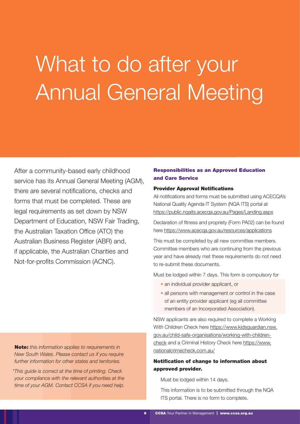### What to do after your Annual General Meeting

After a community-based early childhood service has its Annual General Meeting (AGM), there are several notifications, checks and forms that must be completed. These are legal requirements as set down by NSW Department of Education, NSW Fair Trading, the Australian Taxation Office (ATO) the Australian Business Register (ABR) and, if applicable, the Australian Charities and Not-for-profits Commission (ACNC).

Note: *this information applies to requirements in New South Wales. Please contact us if you require further information for other states and territories.*

*\*This guide is correct at the time of printing. Check your compliance with the relevant authorities at the time of your AGM. Contact CCSA if you need help.*

#### Responsibilities as an Approved Education and Care Service

#### Provider Approval Notifications

All notifications and forms must be submitted using ACECQA's National Quality Agenda IT System (NQA ITS) portal at <https://public.nqaits.acecqa.gov.au/Pages/Landing.aspx>

Declaration of fitness and propriety (Form PA02) can be found here <https://www.acecqa.gov.au/resources/applications>

This must be completed by all new committee members. Committee members who are continuing from the previous year and have already met these requirements do not need to re-submit these documents.

Must be lodged within 7 days. This form is compulsory for

- an individual provider applicant, or
- all persons with management or control in the case of an entity provider applicant (eg all committee members of an Incorporated Association).

NSW applicants are also required to complete a Working With Children Check here [https://www.kidsguardian.nsw.](https://www.kidsguardian.nsw.gov.au/child-safe-organisations/working-with-children-check) [gov.au/child-safe-organisations/working-with-children](https://www.kidsguardian.nsw.gov.au/child-safe-organisations/working-with-children-check)[check](https://www.kidsguardian.nsw.gov.au/child-safe-organisations/working-with-children-check) and a Criminal History Check here [https://www.](https://www.nationalcrimecheck.com.au/) [nationalcrimecheck.com.au/](https://www.nationalcrimecheck.com.au/)

#### Notification of change to information about approved provider.

Must be lodged within 14 days.

This information is to be submitted through the NQA ITS portal. There is no form to complete.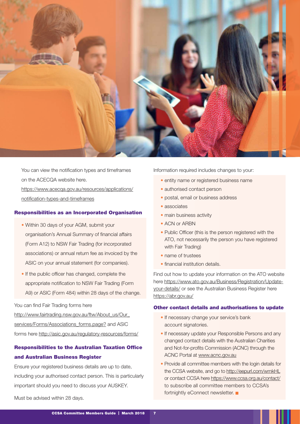

You can view the notification types and timeframes on the ACECQA website here. [https://www.acecqa.gov.au/resources/applications/](https://www.acecqa.gov.au/resources/applications/notification-types-and-timeframes) [notification-types-and-timeframes](https://www.acecqa.gov.au/resources/applications/notification-types-and-timeframes)

#### Responsibilities as an Incorporated Organisation

- Within 30 days of your AGM, submit your organisation's Annual Summary of financial affairs (Form A12) to NSW Fair Trading (for incorporated associations) or annual return fee as invoiced by the ASIC on your annual statement (for companies).
- If the public officer has changed, complete the appropriate notification to NSW Fair Trading (Form A9) or ASIC (Form 484) within 28 days of the change.

#### You can find Fair Trading forms here

http://www.fairtrading.nsw.gov.au/ftw/About\_us/Our services/Forms/Associations\_forms.page? and ASIC forms here<http://asic.gov.au/regulatory-resources/forms/>

#### Responsibilities to the Australian Taxation Office and Australian Business Register

Ensure your registered business details are up to date, including your authorised contact person. This is particularly important should you need to discuss your AUSKEY.

Must be advised within 28 days.

Information required includes changes to your:

- entity name or registered business name
- authorised contact person
- postal, email or business address
- associates
- main business activity
- ACN or ARBN
- Public Officer (this is the person registered with the ATO, not necessarily the person you have registered with Fair Trading)
- name of trustees
- financial institution details.

Find out how to update your information on the ATO website here [https://www.ato.gov.au/Business/Registration/Update](https://www.ato.gov.au/Business/Registration/Update-your-details/)[your-details/](https://www.ato.gov.au/Business/Registration/Update-your-details/) or see the Australian Business Register here <https://abr.gov.au/>

#### Other contact details and authorisations to update

- If necessary change your service's bank account signatories.
- If necessary update your Responsible Persons and any changed contact details with the Australian Charities and Not-for-profits Commission (ACNC) through the ACNC Portal at www.acnc.gov.au
- Provide all committee members with the login details for the CCSA website, and go to http://eepurl.com/wmkHL or contact CCSA here<https://www.ccsa.org.au/contact/> to subscribe all committee members to CCSA's fortnightly eConnect newsletter.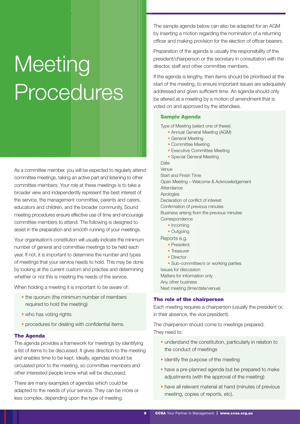### **Meeting** Procedures

As a committee member, you will be expected to regularly attend committee meetings, taking an active part and listening to other committee members. Your role at these meetings is to take a broader view and independently represent the best interest of the service, the management committee, parents and carers, educators and children, and the broader community. Sound meeting procedures ensure effective use of time and encourage committee members to attend. The following is designed to assist in the preparation and smooth running of your meetings.

Your organisation's constitution will usually indicate the minimum number of general and committee meetings to be held each year. If not, it is important to determine the number and types of meetings that your service needs to hold. This may be done by looking at the current custom and practise and determining whether or not this is meeting the needs of the service.

When holding a meeting it is important to be aware of:

- the quorum (the minimum number of members required to hold the meeting)
- who has voting rights
- procedures for dealing with confidential items.

#### The Agenda

The agenda provides a framework for meetings by identifying a list of items to be discussed. It gives direction to the meeting and enables time to be kept. Ideally, agendas should be circulated prior to the meeting, so committee members and other interested people know what will be discussed.

There are many examples of agendas which could be adapted to the needs of your service. They can be more or less complex, depending upon the type of meeting.

The sample agenda below can also be adapted for an AGM by inserting a motion regarding the nomination of a returning officer and making provision for the election of officer bearers.

Preparation of the agenda is usually the responsibility of the president/chairperson or the secretary in consultation with the director, staff and other committee members.

If the agenda is lengthy, then items should be prioritised at the start of the meeting, to ensure important issues are adequately addressed and given sufficient time. An agenda should only be altered at a meeting by a motion of amendment that is voted on and approved by the attendees.

#### Sample Agenda

Type of Meeting (select one of these):

- Annual General Meeting (AGM)
- General Meeting
- Committee Meeting
- Executive Committee Meeting
- Special General Meeting

Date Venue Start and Finish Time Open Meeting – Welcome & Acknowledgement **Attendance** Apologies Declaration of conflict of interest Confirmation of previous minutes Business arising from the previous minutes **Correspondence** 

- Incoming
- Outgoing
- Reports e.g.
	- President
	- Treasurer
	- Director

• Sub-committee/s or working parties

Issues for discussion Matters for information only

Any other business Next meeting (time/date/venue)

#### The role of the chairperson

Each meeting requires a chairperson (usually the president or, in their absence, the vice president).

The chairperson should come to meetings prepared. They need to:

- understand the constitution, particularly in relation to the conduct of meetings
- identify the purpose of the meeting
- have a pre-planned agenda but be prepared to make adjustments (with the approval of the meeting)
- have all relevant material at hand (minutes of previous meeting, copies of reports, etc).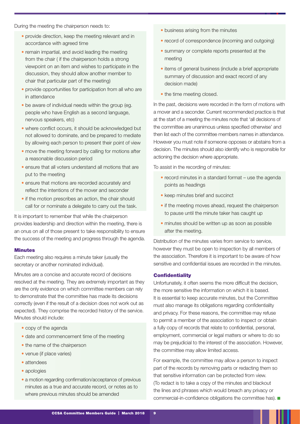During the meeting the chairperson needs to:

- provide direction, keep the meeting relevant and in accordance with agreed time
- remain impartial, and avoid leading the meeting from the chair ( if the chairperson holds a strong viewpoint on an item and wishes to participate in the discussion, they should allow another member to chair that particular part of the meeting)
- provide opportunities for participation from all who are in attendance
- be aware of individual needs within the group (eg. people who have English as a second language, nervous speakers, etc)
- where conflict occurs, it should be acknowledged but not allowed to dominate, and be prepared to mediate by allowing each person to present their point of view
- move the meeting forward by calling for motions after a reasonable discussion period
- ensure that all voters understand all motions that are put to the meeting
- ensure that motions are recorded accurately and reflect the intentions of the mover and seconder
- if the motion prescribes an action, the chair should call for or nominate a delegate to carry out the task.

It is important to remember that while the chairperson provides leadership and direction within the meeting, there is an onus on all of those present to take responsibility to ensure the success of the meeting and progress through the agenda.

#### **Minutes**

Each meeting also requires a minute taker (usually the secretary or another nominated individual).

Minutes are a concise and accurate record of decisions resolved at the meeting. They are extremely important as they are the only evidence on which committee members can rely to demonstrate that the committee has made its decisions correctly (even if the result of a decision does not work out as expected). They comprise the recorded history of the service. Minutes should include:

- copy of the agenda
- date and commencement time of the meeting
- the name of the chairperson
- venue (if place varies)
- attendees
- apologies
- a motion regarding confirmation/acceptance of previous minutes as a true and accurate record, or notes as to where previous minutes should be amended
- business arising from the minutes
- record of correspondence (incoming and outgoing)
- summary or complete reports presented at the meeting
- items of general business (include a brief appropriate summary of discussion and exact record of any decision made)
- the time meeting closed.

In the past, decisions were recorded in the form of motions with a mover and a seconder. Current recommended practice is that at the start of a meeting the minutes note that 'all decisions of the committee are unanimous unless specified otherwise' and then list each of the committee members names in attendance. However you must note if someone opposes or abstains from a decision. The minutes should also identify who is responsible for actioning the decision where appropriate.

To assist in the recording of minutes:

- record minutes in a standard format use the agenda points as headings
- keep minutes brief and succinct
- if the meeting moves ahead, request the chairperson to pause until the minute taker has caught up
- minutes should be written up as soon as possible after the meeting.

Distribution of the minutes varies from service to service, however they must be open to inspection by all members of the association. Therefore it is important to be aware of how sensitive and confidential issues are recorded in the minutes.

#### **Confidentiality**

Unfortunately, it often seems the more difficult the decision, the more sensitive the information on which it is based. It is essential to keep accurate minutes, but the Committee must also manage its obligations regarding confidentiality and privacy. For these reasons, the committee may refuse to permit a member of the association to inspect or obtain a fully copy of records that relate to confidential, personal, employment, commercial or legal matters or where to do so may be prejudicial to the interest of the association. However, the committee may allow limited access.

For example, the committee may allow a person to inspect part of the records by removing parts or redacting them so that sensitive information can be protected from view. (To redact is to take a copy of the minutes and blackout the lines and phrases which would breach any privacy or commercial-in-confidence obligations the committee has).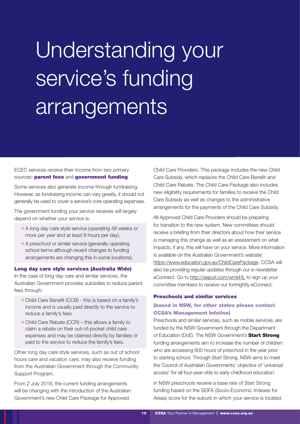## Understanding your service's funding arrangements

ECEC services receive their income from two primary sources: parent fees and government funding.

Some services also generate income through fundraising. However, as fundraising income can vary greatly, it should not generally be used to cover a service's core operating expenses.

The government funding your service receives will largely depend on whether your service is:

- A long day care style service (operating 48 weeks or more per year and at least 8 hours per day).
- A preschool or similar service (generally operating school terms although recent changes to funding arrangements are changing this in some locations).

#### Long day care style services (Australia Wide)

In the case of long day care and similar services, the Australian Government provides subsidies to reduce parent fees through:

- Child Care Benefit (CCB) this is based on a family's income and is usually paid directly to the service to reduce a family's fees.
- Child Care Rebate (CCR) this allows a family to claim a rebate on their out-of-pocket child care expenses and may be claimed directly by families or paid to the service to reduce the family's fees.

Other long day care style services, such as out of school hours care and vacation care, may also receive funding from the Australian Government through the Community Support Program.

From 2 July 2018, the current funding arrangements will be changing with the introduction of the Australian Government's new Child Care Package for Approved

Child Care Providers. This package includes the new Child Care Subsidy, which replaces the Child Care Benefit and Child Care Rebate. The Child Care Package also includes new eligibility requirements for families to receive the Child Care Subsidy as well as changes to the administrative arrangements for the payments of the Child Care Subsidy.

All Approved Child Care Providers should be preparing for transition to the new system. New committees should receive a briefing from their directors about how their service is managing this change as well as an assessment on what impacts, if any, this will have on your service. More information is available on the Australian Government's website: [https://www.education.gov.au/ChildCarePackage.](https://www.education.gov.au/ChildCarePackage) CCSA will also be providing regular updates through our e-newsletter eConnect. Go to http://eepurl.com/wmkHL to sign up your committee members to receive our fortnightly eConnect.

#### Preschools and similar services

#### (based in NSW, for other states please contact CCSA's Management Infoline)

Preschools and similar services, such as mobile services, are funded by the NSW Government through the Department of Education (DoE). The NSW Government's Start Strong funding arrangements aim to increase the number of children who are accessing 600 hours of preschool in the year prior to starting school. Through Start Strong, NSW aims to meet the Council of Australian Governments' objective of 'universal access' for all four-year-olds to early childhood education.

In NSW preschools receive a base rate of Start Strong funding based on the SEIFA (Socio-Economic Indexes for Areas) score for the suburb in which your service is located.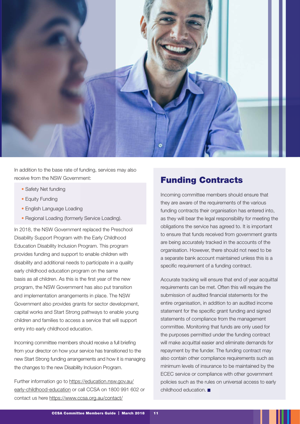

In addition to the base rate of funding, services may also receive from the NSW Government:

- Safety Net funding
- Equity Funding
- English Language Loading
- Regional Loading (formerly Service Loading).

In 2018, the NSW Government replaced the Preschool Disability Support Program with the Early Childhood Education Disability Inclusion Program. This program provides funding and support to enable children with disability and additional needs to participate in a quality early childhood education program on the same basis as all children. As this is the first year of the new program, the NSW Government has also put transition and implementation arrangements in place. The NSW Government also provides grants for sector development, capital works and Start Strong pathways to enable young children and families to access a service that will support entry into early childhood education.

Incoming committee members should receive a full briefing from your director on how your service has transitioned to the new Start Strong funding arrangements and how it is managing the changes to the new Disability Inclusion Program.

Further information go to [https://education.nsw.gov.au/](https://education.nsw.gov.au/early-childhood-education) [early-childhood-education](https://education.nsw.gov.au/early-childhood-education) or call CCSA on 1800 991 602 or contact us here<https://www.ccsa.org.au/contact/>

### Funding Contracts

Incoming committee members should ensure that they are aware of the requirements of the various funding contracts their organisation has entered into, as they will bear the legal responsibility for meeting the obligations the service has agreed to. It is important to ensure that funds received from government grants are being accurately tracked in the accounts of the organisation. However, there should not need to be a separate bank account maintained unless this is a specific requirement of a funding contract.

Accurate tracking will ensure that end of year acquittal requirements can be met. Often this will require the submission of audited financial statements for the entire organisation, in addition to an audited income statement for the specific grant funding and signed statements of compliance from the management committee. Monitoring that funds are only used for the purposes permitted under the funding contract will make acquittal easier and eliminate demands for repayment by the funder. The funding contract may also contain other compliance requirements such as minimum levels of insurance to be maintained by the ECEC service or compliance with other government policies such as the rules on universal access to early childhood education.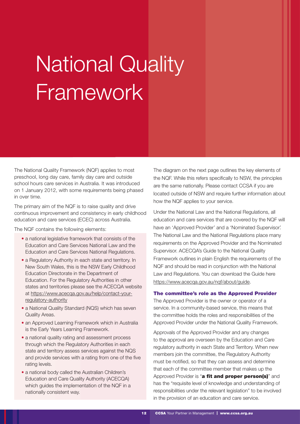### National Quality Framework

The National Quality Framework (NQF) applies to most preschool, long day care, family day care and outside school hours care services in Australia. It was introduced on 1 January 2012, with some requirements being phased in over time.

The primary aim of the NQF is to raise quality and drive continuous improvement and consistency in early childhood education and care services (ECEC) across Australia.

The NQF contains the following elements:

- a national legislative framework that consists of the Education and Care Services National Law and the Education and Care Services National Regulations.
- a Regulatory Authority in each state and territory. In New South Wales, this is the NSW Early Childhood Education Directorate in the Department of Education. For the Regulatory Authorities in other states and territories please see the ACECQA website at [https://www.acecqa.gov.au/help/contact-your](https://www.acecqa.gov.au/help/contact-your-regulatory-authority)[regulatory-authority](https://www.acecqa.gov.au/help/contact-your-regulatory-authority)
- a National Quality Standard (NQS) which has seven Quality Areas.
- an Approved Learning Framework which in Australia is the Early Years Learning Framework.
- a national quality rating and assessment process through which the Regulatory Authorities in each state and territory assess services against the NQS and provide services with a rating from one of the five rating levels.
- a national body called the Australian Children's Education and Care Quality Authority (ACECQA) which guides the implementation of the NQF in a nationally consistent way.

The diagram on the next page outlines the key elements of the NQF. While this refers specifically to NSW, the principles are the same nationally. Please contact CCSA if you are located outside of NSW and require further information about how the NQF applies to your service.

Under the National Law and the National Regulations, all education and care services that are covered by the NQF will have an 'Approved Provider' and a 'Nominated Supervisor'. The National Law and the National Regulations place many requirements on the Approved Provider and the Nominated Supervisor. ACECQA's Guide to the National Quality Framework outlines in plain English the requirements of the NQF and should be read in conjunction with the National Law and Regulations. You can download the Guide here [https://www.acecqa.gov.au/nqf/about/guide.](https://www.acecqa.gov.au/nqf/about/guide)

#### The committee's role as the Approved Provider

The Approved Provider is the owner or operator of a service. In a community-based service, this means that the committee holds the roles and responsibilities of the Approved Provider under the National Quality Framework.

Approvals of the Approved Provider and any changes to the approval are overseen by the Education and Care regulatory authority in each State and Territory. When new members join the committee, the Regulatory Authority must be notified, so that they can assess and determine that each of the committee member that makes up the Approved Provider is "a fit and proper person(s)" and has the "requisite level of knowledge and understanding of responsibilities under the relevant legislation" to be involved in the provision of an education and care service.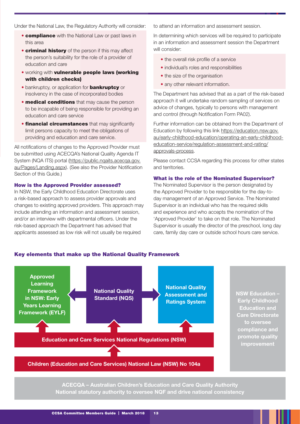Under the National Law, the Regulatory Authority will consider:

- **compliance** with the National Law or past laws in this area
- **criminal history** of the person if this may affect the person's suitability for the role of a provider of education and care
- working with vulnerable people laws (working with children checks)
- bankruptcy, or application for **bankruptcy** or insolvency in the case of incorporated bodies
- medical conditions that may cause the person to be incapable of being responsible for providing an education and care service
- **financial circumstances** that may significantly limit persons capacity to meet the obligations of providing and education and care service.

All notifications of changes to the Approved Provider must be submitted using ACECQA's National Quality Agenda IT System (NQA ITS) portal (https://public.nqaits.acecqa.gov. au/Pages/Landing.aspx). (See also the Provider Notification Section of this Guide.)

#### How is the Approved Provider assessed?

In NSW, the Early Childhood Education Directorate uses a risk-based approach to assess provider approvals and changes to existing approved providers. This approach may include attending an information and assessment session, and/or an interview with departmental officers. Under the risk-based approach the Department has advised that applicants assessed as low risk will not usually be required

to attend an information and assessment session.

In determining which services will be required to participate in an information and assessment session the Department will consider:

- the overall risk profile of a service
- individual's roles and responsibilities
- the size of the organisation
- any other relevant information.

The Department has advised that as a part of the risk-based approach it will undertake random sampling of services on advice of changes, typically to persons with management and control (through Notification Form PA02).

Further information can be obtained from the Department of Education by following this link [https://education.nsw.gov.](https://education.nsw.gov.au/early-childhood-education/operating-an-early-childhood-education-service/regulation-assessment-and-rating/approvals-process) [au/early-childhood-education/operating-an-early-childhood](https://education.nsw.gov.au/early-childhood-education/operating-an-early-childhood-education-service/regulation-assessment-and-rating/approvals-process)[education-service/regulation-assessment-and-rating/](https://education.nsw.gov.au/early-childhood-education/operating-an-early-childhood-education-service/regulation-assessment-and-rating/approvals-process) [approvals-process](https://education.nsw.gov.au/early-childhood-education/operating-an-early-childhood-education-service/regulation-assessment-and-rating/approvals-process).

Please contact CCSA regarding this process for other states and territories.

#### What is the role of the Nominated Supervisor?

The Nominated Supervisor is the person designated by the Approved Provider to be responsible for the day-today management of an Approved Service. The Nominated Supervisor is an individual who has the required skills and experience and who accepts the nomination of the 'Approved Provider' to take on that role. The Nominated Supervisor is usually the director of the preschool, long day care, family day care or outside school hours care service.





#### Children (Education and Care Services) National Law (NSW) No 104a

ACECQA – Australian Children's Education and Care Quality Authority National statutory authority to oversee NQF and drive national consistency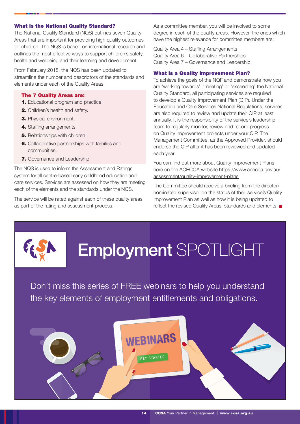#### What is the National Quality Standard?

The National Quality Standard (NQS) outlines seven Quality Areas that are important for providing high quality outcomes for children. The NQS is based on international research and outlines the most effective ways to support children's safety, health and wellbeing and their learning and development.

From February 2018, the NQS has been updated to streamline the number and descriptors of the standards and elements under each of the Quality Areas.

#### The 7 Quality Areas are:

- 1. Educational program and practice.
- 2. Children's health and safety.
- 3. Physical environment.
- 4. Staffing arrangements.
- **5.** Relationships with children.
- 6. Collaborative partnerships with families and communities.
- 7. Governance and Leadership.

The NQS is used to inform the Assessment and Ratings system for all centre-based early childhood education and care services. Services are assessed on how they are meeting each of the elements and the standards under the NQS.

The service will be rated against each of these quality areas as part of the rating and assessment process.

As a committee member, you will be involved to some degree in each of the quality areas. However, the ones which have the highest relevance for committee members are:

Quality Area 4 – Staffing Arrangements Quality Area 6 – Collaborative Partnerships Quality Area 7 – Governance and Leadership.

#### What is a Quality Improvement Plan?

To achieve the goals of the NQF and demonstrate how you are 'working towards', 'meeting' or 'exceeding' the National Quality Standard, all participating services are required to develop a Quality Improvement Plan (QIP). Under the Education and Care Services National Regulations, services are also required to review and update their QIP at least annually. It is the responsibility of the service's leadership team to regularly monitor, review and record progress on Quality Improvement projects under your QIP. The Management Committee, as the Approved Provider, should endorse the QIP after it has been reviewed and updated each year.

You can find out more about Quality Improvement Plans here on the ACECQA website [https://www.acecqa.gov.au/](https://www.acecqa.gov.au/assessment/quality-improvement-plans) [assessment/quality-improvement-plans](https://www.acecqa.gov.au/assessment/quality-improvement-plans)

The Committee should receive a briefing from the director/ nominated supervisor on the status of their service's Quality Improvement Plan as well as how it is being updated to reflect the revised Quality Areas, standards and elements. ■



### Employment SPOTLIGHT

[Don't miss this series of FREE webinars to help you understand](https://mailchi.mp/ccsa.org.au/ealert-12318-employment-spotlight-series)  the key elements of employment entitlements and obligations.

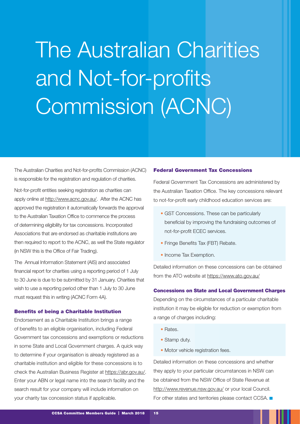### The Australian Charities and Not-for-profits Commission (ACNC)

The Australian Charities and Not-for-profits Commission (ACNC) is responsible for the registration and regulation of charities.

Not-for-profit entities seeking registration as charities can apply online at http://www.acnc.gov.au/. After the ACNC has approved the registration it automatically forwards the approval to the Australian Taxation Office to commence the process of determining eligibility for tax concessions. Incorporated Associations that are endorsed as charitable institutions are then required to report to the ACNC, as well the State regulator (in NSW this is the Office of Fair Trading).

The Annual Information Statement (AIS) and associated financial report for charities using a reporting period of 1 July to 30 June is due to be submitted by 31 January. Charities that wish to use a reporting period other than 1 July to 30 June must request this in writing (ACNC Form 4A).

#### Benefits of being a Charitable Institution

Endorsement as a Charitable Institution brings a range of benefits to an eligible organisation, including Federal Government tax concessions and exemptions or reductions in some State and Local Government charges. A quick way to determine if your organisation is already registered as a charitable institution and eligible for these concessions is to check the Australian Business Register at [https://abr.gov.au/.](https://abr.gov.au/) Enter your ABN or legal name into the search facility and the search result for your company will include information on your charity tax concession status if applicable.

#### Federal Government Tax Concessions

Federal Government Tax Concessions are administered by the Australian Taxation Office. The key concessions relevant to not-for-profit early childhood education services are:

- GST Concessions. These can be particularly beneficial by improving the fundraising outcomes of not-for-profit ECEC services.
- Fringe Benefits Tax (FBT) Rebate.
- Income Tax Exemption.

Detailed information on these concessions can be obtained from the ATO website at<https://www.ato.gov.au/>

#### Concessions on State and Local Government Charges

Depending on the circumstances of a particular charitable institution it may be eligible for reduction or exemption from a range of charges including:

- Rates.
- Stamp duty.
- Motor vehicle registration fees.

Detailed information on these concessions and whether they apply to your particular circumstances in NSW can be obtained from the NSW Office of State Revenue at <http://www.revenue.nsw.gov.au/>or your local Council. For other states and territories please contact CCSA.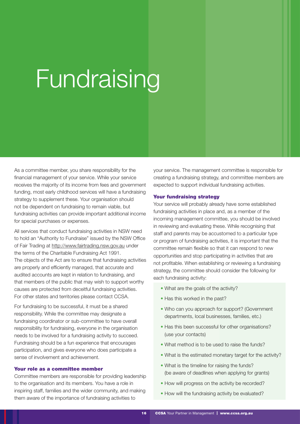### Fundraising

As a committee member, you share responsibility for the financial management of your service. While your service receives the majority of its income from fees and government funding, most early childhood services will have a fundraising strategy to supplement these. Your organisation should not be dependent on fundraising to remain viable, but fundraising activities can provide important additional income for special purchases or expenses.

All services that conduct fundraising activities in NSW need to hold an "Authority to Fundraise" issued by the NSW Office of Fair Trading at http://www.fairtrading.nsw.gov.au under the terms of the Charitable Fundraising Act 1991. The objects of the Act are to ensure that fundraising activities are properly and efficiently managed, that accurate and audited accounts are kept in relation to fundraising, and that members of the public that may wish to support worthy causes are protected from deceitful fundraising activities. For other states and territories please contact CCSA.

For fundraising to be successful, it must be a shared responsibility. While the committee may designate a fundraising coordinator or sub-committee to have overall responsibility for fundraising, everyone in the organisation needs to be involved for a fundraising activity to succeed. Fundraising should be a fun experience that encourages participation, and gives everyone who does participate a sense of involvement and achievement.

#### Your role as a committee member

Committee members are responsible for providing leadership to the organisation and its members. You have a role in inspiring staff, families and the wider community, and making them aware of the importance of fundraising activities to

your service. The management committee is responsible for creating a fundraising strategy, and committee members are expected to support individual fundraising activities.

#### Your fundraising strategy

Your service will probably already have some established fundraising activities in place and, as a member of the incoming management committee, you should be involved in reviewing and evaluating these. While recognising that staff and parents may be accustomed to a particular type or program of fundraising activities, it is important that the committee remain flexible so that it can respond to new opportunities and stop participating in activities that are not profitable. When establishing or reviewing a fundraising strategy, the committee should consider the following for each fundraising activity:

- What are the goals of the activity?
- Has this worked in the past?
- Who can you approach for support? (Government departments, local businesses, families, etc.)
- Has this been successful for other organisations? (use your contacts)
- What method is to be used to raise the funds?
- What is the estimated monetary target for the activity?
- What is the timeline for raising the funds? (be aware of deadlines when applying for grants)
- How will progress on the activity be recorded?
- How will the fundraising activity be evaluated?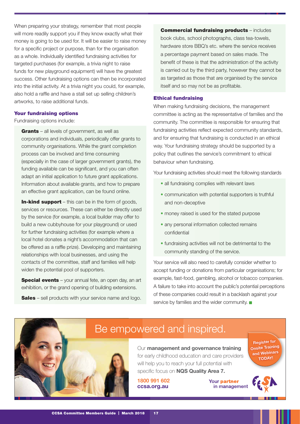When preparing your strategy, remember that most people will more readily support you if they know exactly what their money is going to be used for. It will be easier to raise money for a specific project or purpose, than for the organisation as a whole. Individually identified fundraising activities for targeted purchases (for example, a trivia night to raise funds for new playground equipment) will have the greatest success. Other fundraising options can then be incorporated into the initial activity. At a trivia night you could, for example, also hold a raffle and have a stall set up selling children's artworks, to raise additional funds.

#### Your fundraising options

Fundraising options include:

Grants – all levels of government, as well as corporations and individuals, periodically offer grants to community organisations. While the grant completion process can be involved and time consuming (especially in the case of larger government grants), the funding available can be significant, and you can often adapt an initial application to future grant applications. Information about available grants, and how to prepare an effective grant application, can be found online.

**In-kind support** – this can be in the form of goods, services or resources. These can either be directly used by the service (for example, a local builder may offer to build a new cubbyhouse for your playground) or used for further fundraising activities (for example where a local hotel donates a night's accommodation that can be offered as a raffle prize). Developing and maintaining relationships with local businesses, and using the contacts of the committee, staff and families will help widen the potential pool of supporters.

**Special events** – your annual fete, an open day, an art exhibition, or the grand opening of building extensions.

**Sales** – sell products with your service name and logo.

Commercial fundraising products – includes book clubs, school photographs, class tea-towels, hardware store BBQ's etc. where the service receives a percentage payment based on sales made. The benefit of these is that the administration of the activity is carried out by the third party, however they cannot be as targeted as those that are organised by the service itself and so may not be as profitable.

#### Ethical fundraising

When making fundraising decisions, the management committee is acting as the representative of families and the community. The committee is responsible for ensuring that fundraising activities reflect expected community standards, and for ensuring that fundraising is conducted in an ethical way. Your fundraising strategy should be supported by a policy that outlines the service's commitment to ethical behaviour when fundraising.

Your fundraising activities should meet the following standards

- all fundraising complies with relevant laws
- communication with potential supporters is truthful and non-deceptive
- money raised is used for the stated purpose
- any personal information collected remains confidential
- fundraising activities will not be detrimental to the community standing of the service.

Your service will also need to carefully consider whether to accept funding or donations from particular organisations; for example, fast-food, gambling, alcohol or tobacco companies. A failure to take into account the public's potential perceptions of these companies could result in a backlash against your service by families and the wider community.



### Be empowered and inspired.

Our management and governance training for early childhood education and care providers will help you to reach your full potential with specific focus on NQS Quality Area 7.

1800 991 602 ccsa.org.au

Your partner in management

Register for Onsite Training and Webinars TODAY!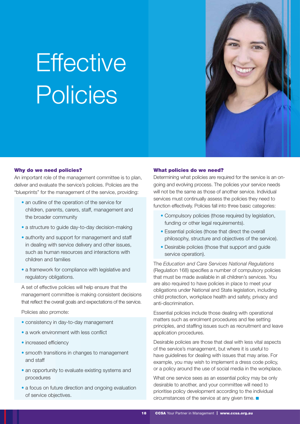# **Effective** Policies



#### Why do we need policies?

An important role of the management committee is to plan, deliver and evaluate the service's policies. Policies are the "blueprints" for the management of the service, providing:

- an outline of the operation of the service for children, parents, carers, staff, management and the broader community
- a structure to guide day-to-day decision-making
- authority and support for management and staff in dealing with service delivery and other issues, such as human resources and interactions with children and families
- a framework for compliance with legislative and regulatory obligations.

A set of effective policies will help ensure that the management committee is making consistent decisions that reflect the overall goals and expectations of the service.

Policies also promote:

- consistency in day-to-day management
- a work environment with less conflict
- increased efficiency
- smooth transitions in changes to management and staff
- an opportunity to evaluate existing systems and procedures
- a focus on future direction and ongoing evaluation of service objectives.

#### What policies do we need?

Determining what policies are required for the service is an ongoing and evolving process. The policies your service needs will not be the same as those of another service. Individual services must continually assess the policies they need to function effectively. Policies fall into three basic categories:

- Compulsory policies (those required by legislation, funding or other legal requirements).
- Essential policies (those that direct the overall philosophy, structure and objectives of the service).
- Desirable policies (those that support and quide service operation).

The *Education and Care Services National Regulations*  (Regulation 168) specifies a number of compulsory policies that must be made available in all children's services. You are also required to have policies in place to meet your obligations under National and State legislation, including child protection, workplace health and safety, privacy and anti-discrimination.

Essential policies include those dealing with operational matters such as enrolment procedures and fee setting principles, and staffing issues such as recruitment and leave application procedures.

Desirable policies are those that deal with less vital aspects of the service's management, but where it is useful to have guidelines for dealing with issues that may arise. For example, you may wish to implement a dress code policy, or a policy around the use of social media in the workplace.

What one service sees as an essential policy may be only desirable to another, and your committee will need to prioritise policy development according to the individual circumstances of the service at any given time.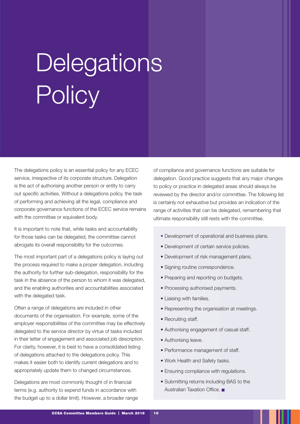# **Delegations Policy**

The delegations policy is an essential policy for any ECEC service, irrespective of its corporate structure. Delegation is the act of authorising another person or entity to carry out specific activities. Without a delegations policy, the task of performing and achieving all the legal, compliance and corporate governance functions of the ECEC service remains with the committee or equivalent body.

It is important to note that, while tasks and accountability for those tasks can be delegated, the committee cannot abrogate its overall responsibility for the outcomes.

The most important part of a delegations policy is laying out the process required to make a proper delegation, including the authority for further sub-delegation, responsibility for the task in the absence of the person to whom it was delegated, and the enabling authorities and accountabilities associated with the delegated task.

Often a range of delegations are included in other documents of the organisation. For example, some of the employer responsibilities of the committee may be effectively delegated to the service director by virtue of tasks included in their letter of engagement and associated job description. For clarity, however, it is best to have a consolidated listing of delegations attached to the delegations policy. This makes it easier both to identify current delegations and to appropriately update them to changed circumstances.

Delegations are most commonly thought of in financial terms (e.g. authority to expend funds in accordance with the budget up to a dollar limit). However, a broader range of compliance and governance functions are suitable for delegation. Good practice suggests that any major changes to policy or practice in delegated areas should always be reviewed by the director and/or committee. The following list is certainly not exhaustive but provides an indication of the range of activities that can be delegated, remembering that ultimate responsibility still rests with the committee.

- Development of operational and business plans.
- Development of certain service policies.
- Development of risk management plans.
- Signing routine correspondence.
- Preparing and reporting on budgets.
- Processing authorised payments.
- Liaising with families.
- Representing the organisation at meetings.
- Recruiting staff.
- Authorising engagement of casual staff.
- Authorising leave.
- Performance management of staff.
- Work Health and Safety tasks.
- Ensuring compliance with regulations.
- Submitting returns including BAS to the Australian Taxation Office.